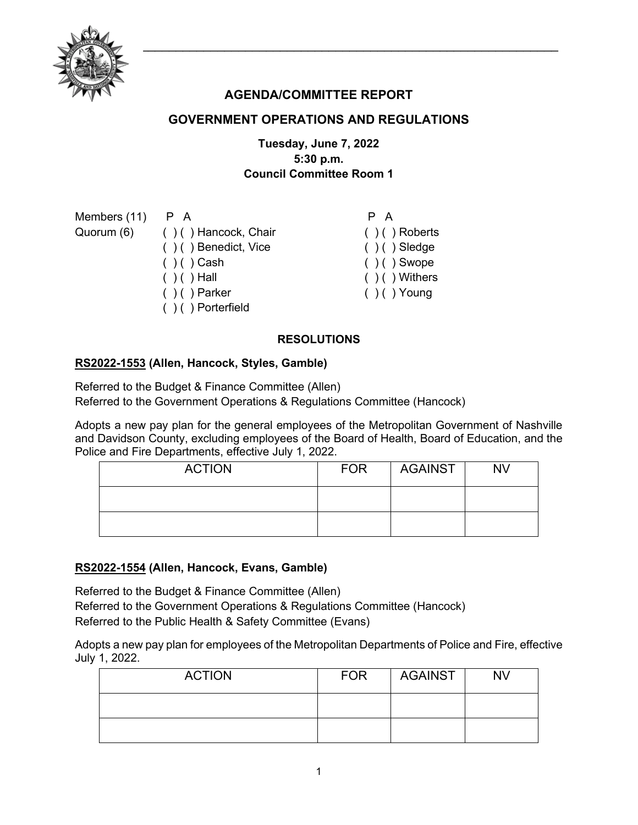

# **AGENDA/COMMITTEE REPORT**

# **GOVERNMENT OPERATIONS AND REGULATIONS**

## **Tuesday, June 7, 2022 5:30 p.m. Council Committee Room 1**

| P A                   | P A               |
|-----------------------|-------------------|
| ()() Hancock, Chair   | $( ) ( )$ Roberts |
| ()() Benedict, Vice   | $( ) ( )$ Sledge  |
| $( ) ( )$ Cash        | $( ) ( )$ Swope   |
| $( ) ( )$ Hall        | $( )$ ( ) Withers |
| $( ) ( )$ Parker      | $( ) ( )$ Young   |
| $( ) ( )$ Porterfield |                   |
|                       |                   |

#### **RESOLUTIONS**

#### **[RS2022-1553](http://nashville.legistar.com/gateway.aspx?m=l&id=/matter.aspx?key=14587) (Allen, Hancock, Styles, Gamble)**

Referred to the Budget & Finance Committee (Allen) Referred to the Government Operations & Regulations Committee (Hancock)

Adopts a new pay plan for the general employees of the Metropolitan Government of Nashville and Davidson County, excluding employees of the Board of Health, Board of Education, and the Police and Fire Departments, effective July 1, 2022.

| <b>ACTION</b> | <b>FOR</b> | AGAINST | <b>NV</b> |
|---------------|------------|---------|-----------|
|               |            |         |           |
|               |            |         |           |

### **[RS2022-1554](http://nashville.legistar.com/gateway.aspx?m=l&id=/matter.aspx?key=14588) (Allen, Hancock, Evans, Gamble)**

Referred to the Budget & Finance Committee (Allen) Referred to the Government Operations & Regulations Committee (Hancock) Referred to the Public Health & Safety Committee (Evans)

Adopts a new pay plan for employees of the Metropolitan Departments of Police and Fire, effective July 1, 2022.

| <b>ACTION</b> | <b>FOR</b> | <b>AGAINST</b> | NV |
|---------------|------------|----------------|----|
|               |            |                |    |
|               |            |                |    |